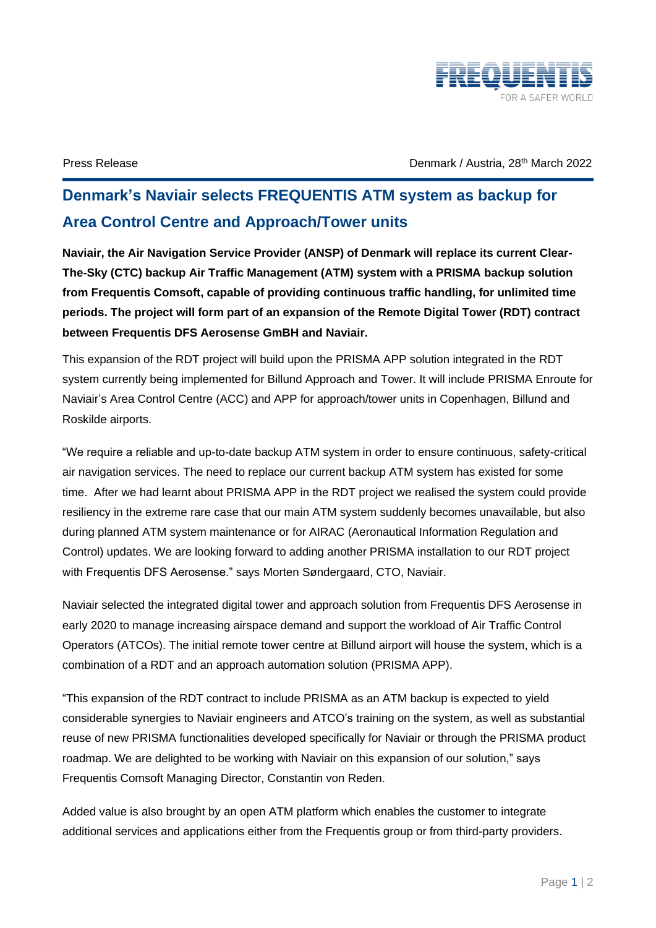

Press Release the March 2022 Control of March 2002 Control of March 2022 Control of March 2022

## **Denmark's Naviair selects FREQUENTIS ATM system as backup for Area Control Centre and Approach/Tower units**

**Naviair, the Air Navigation Service Provider (ANSP) of Denmark will replace its current Clear-The-Sky (CTC) backup Air Traffic Management (ATM) system with a PRISMA backup solution from Frequentis Comsoft, capable of providing continuous traffic handling, for unlimited time periods. The project will form part of an expansion of the Remote Digital Tower (RDT) contract between Frequentis DFS Aerosense GmBH and Naviair.**

This expansion of the RDT project will build upon the PRISMA APP solution integrated in the RDT system currently being implemented for Billund Approach and Tower. It will include PRISMA Enroute for Naviair's Area Control Centre (ACC) and APP for approach/tower units in Copenhagen, Billund and Roskilde airports.

"We require a reliable and up-to-date backup ATM system in order to ensure continuous, safety-critical air navigation services. The need to replace our current backup ATM system has existed for some time. After we had learnt about PRISMA APP in the RDT project we realised the system could provide resiliency in the extreme rare case that our main ATM system suddenly becomes unavailable, but also during planned ATM system maintenance or for AIRAC (Aeronautical Information Regulation and Control) updates. We are looking forward to adding another PRISMA installation to our RDT project with Frequentis DFS Aerosense." says Morten Søndergaard, CTO, Naviair.

Naviair selected the integrated digital tower and approach solution from Frequentis DFS Aerosense in early 2020 to manage increasing airspace demand and support the workload of Air Traffic Control Operators (ATCOs). The initial remote tower centre at Billund airport will house the system, which is a combination of a RDT and an approach automation solution (PRISMA APP).

"This expansion of the RDT contract to include PRISMA as an ATM backup is expected to yield considerable synergies to Naviair engineers and ATCO's training on the system, as well as substantial reuse of new PRISMA functionalities developed specifically for Naviair or through the PRISMA product roadmap. We are delighted to be working with Naviair on this expansion of our solution," says Frequentis Comsoft Managing Director, Constantin von Reden.

Added value is also brought by an open ATM platform which enables the customer to integrate additional services and applications either from the Frequentis group or from third-party providers.